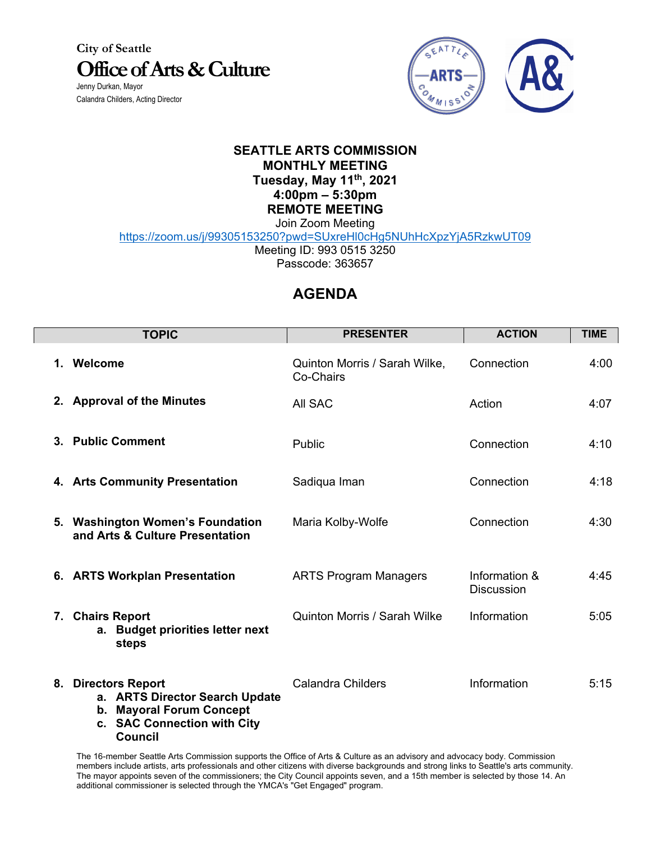**City of Seattle Office of Arts & Culture** Jenny Durkan, Mayor

Calandra Childers, Acting Director



## **SEATTLE ARTS COMMISSION MONTHLY MEETING Tuesday, May 11th, 2021 4:00pm – 5:30pm REMOTE MEETING**

Join Zoom Meeting https://zoom.us/j/99305153250?pwd=SUxreHl0cHg5NUhHcXpzYjA5RzkwUT09

Meeting ID: 993 0515 3250

Passcode: 363657

## **AGENDA**

|    | <b>TOPIC</b>                                                                                                                          | <b>PRESENTER</b>                           | <b>ACTION</b>                      | <b>TIME</b> |
|----|---------------------------------------------------------------------------------------------------------------------------------------|--------------------------------------------|------------------------------------|-------------|
| 1. | Welcome                                                                                                                               | Quinton Morris / Sarah Wilke,<br>Co-Chairs | Connection                         | 4:00        |
|    | 2. Approval of the Minutes                                                                                                            | All SAC                                    | Action                             | 4:07        |
|    | 3. Public Comment                                                                                                                     | Public                                     | Connection                         | 4:10        |
|    | 4. Arts Community Presentation                                                                                                        | Sadiqua Iman                               | Connection                         | 4:18        |
|    | 5. Washington Women's Foundation<br>and Arts & Culture Presentation                                                                   | Maria Kolby-Wolfe                          | Connection                         | 4:30        |
|    | 6. ARTS Workplan Presentation                                                                                                         | <b>ARTS Program Managers</b>               | Information &<br><b>Discussion</b> | 4:45        |
|    | 7. Chairs Report<br>a. Budget priorities letter next<br>steps                                                                         | <b>Quinton Morris / Sarah Wilke</b>        | Information                        | 5:05        |
|    | 8. Directors Report<br>a. ARTS Director Search Update<br><b>Mayoral Forum Concept</b><br>b.<br>c. SAC Connection with City<br>Council | <b>Calandra Childers</b>                   | Information                        | 5:15        |

The 16-member Seattle Arts Commission supports the Office of Arts & Culture as an advisory and advocacy body. Commission members include artists, arts professionals and other citizens with diverse backgrounds and strong links to Seattle's arts community. The mayor appoints seven of the commissioners; the City Council appoints seven, and a 15th member is selected by those 14. An additional commissioner is selected through the YMCA's "Get Engaged" program.